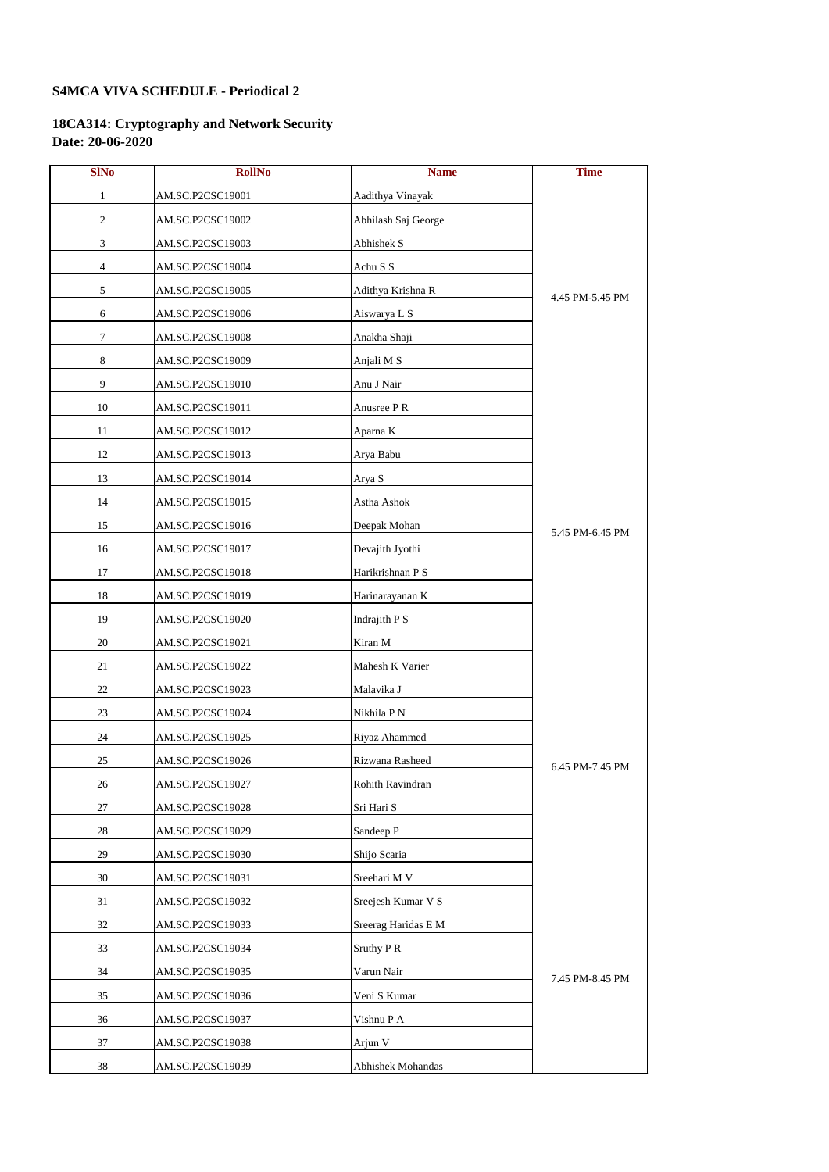# **S4MCA VIVA SCHEDULE - Periodical 2**

# **18CA314: Cryptography and Network Security Date: 20-06-2020**

| <b>SINo</b>              | <b>RollNo</b>    | <b>Name</b>              | <b>Time</b>     |
|--------------------------|------------------|--------------------------|-----------------|
| 1                        | AM.SC.P2CSC19001 | Aadithya Vinayak         |                 |
| $\overline{2}$           | AM.SC.P2CSC19002 | Abhilash Saj George      |                 |
| $\mathfrak{Z}$           | AM.SC.P2CSC19003 | Abhishek S               |                 |
| $\overline{\mathcal{A}}$ | AM.SC.P2CSC19004 | Achu S S                 |                 |
| $5\phantom{.0}$          | AM.SC.P2CSC19005 | Adithya Krishna R        | 4.45 PM-5.45 PM |
| 6                        | AM.SC.P2CSC19006 | Aiswarya L S             |                 |
| $\tau$                   | AM.SC.P2CSC19008 | Anakha Shaji             |                 |
| $8\,$                    | AM.SC.P2CSC19009 | Anjali M S               |                 |
| 9                        | AM.SC.P2CSC19010 | Anu J Nair               |                 |
| 10                       | AM.SC.P2CSC19011 | Anusree P R              |                 |
| 11                       | AM.SC.P2CSC19012 | Aparna K                 |                 |
| 12                       | AM.SC.P2CSC19013 | Arya Babu                |                 |
| 13                       | AM.SC.P2CSC19014 | Arya S                   |                 |
| 14                       | AM.SC.P2CSC19015 | Astha Ashok              |                 |
| 15                       | AM.SC.P2CSC19016 | Deepak Mohan             | 5.45 PM-6.45 PM |
| 16                       | AM.SC.P2CSC19017 | Devajith Jyothi          |                 |
| 17                       | AM.SC.P2CSC19018 | Harikrishnan P S         |                 |
| 18                       | AM.SC.P2CSC19019 | Harinarayanan K          |                 |
| 19                       | AM.SC.P2CSC19020 | Indrajith P S            |                 |
| 20                       | AM.SC.P2CSC19021 | Kiran M                  |                 |
| 21                       | AM.SC.P2CSC19022 | Mahesh K Varier          |                 |
| $22\,$                   | AM.SC.P2CSC19023 | Malavika J               |                 |
| 23                       | AM.SC.P2CSC19024 | Nikhila P N              |                 |
| 24                       | AM.SC.P2CSC19025 | Riyaz Ahammed            |                 |
| 25                       | AM.SC.P2CSC19026 | Rizwana Rasheed          | 6.45 PM-7.45 PM |
| 26                       | AM.SC.P2CSC19027 | Rohith Ravindran         |                 |
| 27                       | AM.SC.P2CSC19028 | Sri Hari S               |                 |
| 28                       | AM.SC.P2CSC19029 | Sandeep P                |                 |
| 29                       | AM.SC.P2CSC19030 | Shijo Scaria             |                 |
| 30                       | AM.SC.P2CSC19031 | Sreehari MV              |                 |
| 31                       | AM.SC.P2CSC19032 | Sreejesh Kumar V S       |                 |
| 32                       | AM.SC.P2CSC19033 | Sreerag Haridas E M      |                 |
| 33                       | AM.SC.P2CSC19034 | Sruthy P R               |                 |
| 34                       | AM.SC.P2CSC19035 | Varun Nair               | 7.45 PM-8.45 PM |
| 35                       | AM.SC.P2CSC19036 | Veni S Kumar             |                 |
| 36                       | AM.SC.P2CSC19037 | Vishnu P A               |                 |
| 37                       | AM.SC.P2CSC19038 | Arjun V                  |                 |
| 38                       | AM.SC.P2CSC19039 | <b>Abhishek Mohandas</b> |                 |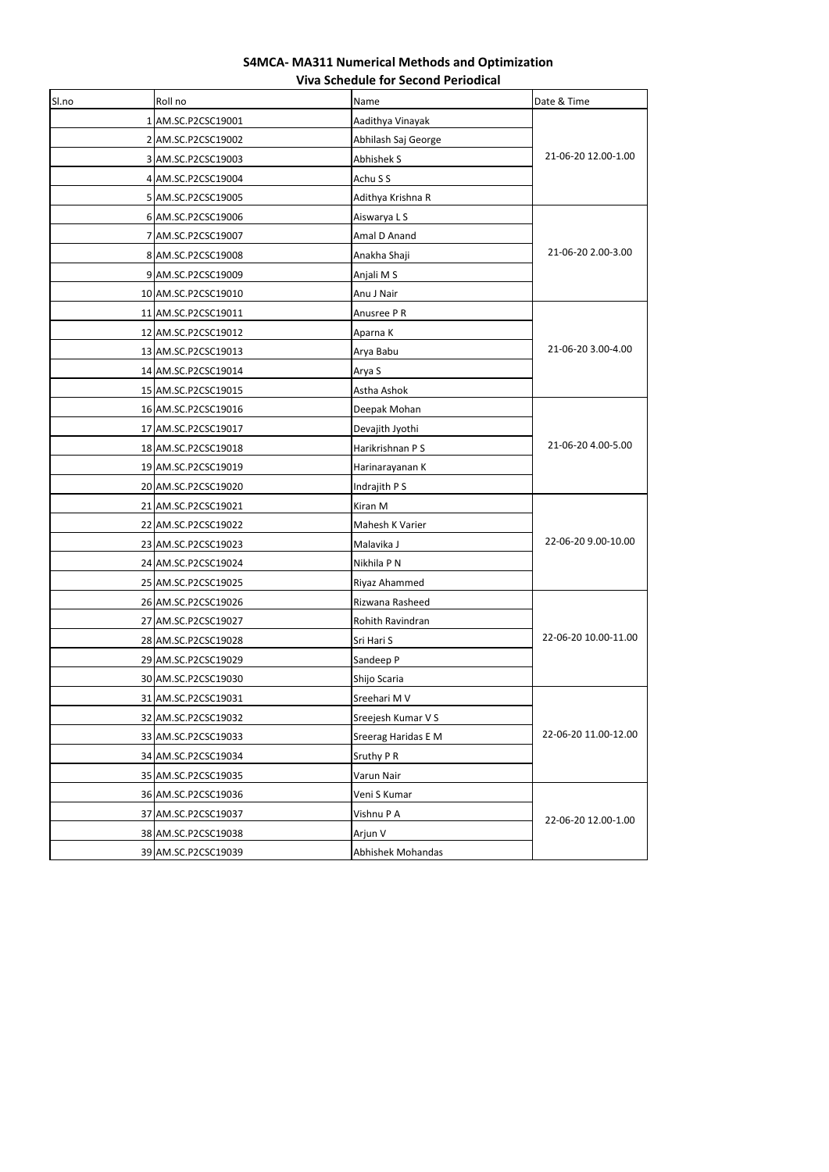| Sl.no | Roll no             | Viva Schedule for Second Periodical<br>Name | Date & Time          |
|-------|---------------------|---------------------------------------------|----------------------|
|       | 1 AM.SC.P2CSC19001  | Aadithya Vinayak                            |                      |
|       | 2 AM.SC.P2CSC19002  | Abhilash Saj George                         |                      |
|       | 3 AM.SC.P2CSC19003  | Abhishek S                                  | 21-06-20 12.00-1.00  |
|       | 4 AM.SC.P2CSC19004  | Achu S S                                    |                      |
|       |                     |                                             |                      |
|       | 5 AM.SC.P2CSC19005  | Adithya Krishna R                           |                      |
|       | 6 AM.SC.P2CSC19006  | Aiswarya L S                                |                      |
|       | 7 AM.SC.P2CSC19007  | Amal D Anand                                | 21-06-20 2.00-3.00   |
|       | 8 AM.SC.P2CSC19008  | Anakha Shaji                                |                      |
|       | 9 AM.SC.P2CSC19009  | Anjali M S                                  |                      |
|       | 10 AM.SC.P2CSC19010 | Anu J Nair                                  |                      |
|       | 11 AM.SC.P2CSC19011 | Anusree P R                                 |                      |
|       | 12 AM.SC.P2CSC19012 | Aparna K                                    |                      |
|       | 13 AM.SC.P2CSC19013 | Arya Babu                                   | 21-06-20 3.00-4.00   |
|       | 14 AM.SC.P2CSC19014 | Arya S                                      |                      |
|       | 15 AM.SC.P2CSC19015 | Astha Ashok                                 |                      |
|       | 16 AM.SC.P2CSC19016 | Deepak Mohan                                |                      |
|       | 17 AM.SC.P2CSC19017 | Devajith Jyothi                             |                      |
|       | 18 AM.SC.P2CSC19018 | Harikrishnan P S                            | 21-06-20 4.00-5.00   |
|       | 19 AM.SC.P2CSC19019 | Harinarayanan K                             |                      |
|       | 20 AM.SC.P2CSC19020 | Indrajith P S                               |                      |
|       | 21 AM.SC.P2CSC19021 | Kiran M                                     |                      |
|       | 22 AM.SC.P2CSC19022 | Mahesh K Varier                             |                      |
|       | 23 AM.SC.P2CSC19023 | Malavika J                                  | 22-06-20 9.00-10.00  |
|       | 24 AM.SC.P2CSC19024 | Nikhila P N                                 |                      |
|       | 25 AM.SC.P2CSC19025 | Riyaz Ahammed                               |                      |
|       | 26 AM.SC.P2CSC19026 | Rizwana Rasheed                             |                      |
|       | 27 AM.SC.P2CSC19027 | Rohith Ravindran                            |                      |
|       | 28 AM.SC.P2CSC19028 | Sri Hari S                                  | 22-06-20 10.00-11.00 |
|       | 29 AM.SC.P2CSC19029 | Sandeep P                                   |                      |
|       | 30 AM.SC.P2CSC19030 | Shijo Scaria                                |                      |
|       | 31 AM.SC.P2CSC19031 | Sreehari M V                                |                      |
|       | 32 AM.SC.P2CSC19032 | Sreejesh Kumar V S                          |                      |
|       | 33 AM.SC.P2CSC19033 | <b>Sreerag Haridas E M</b>                  | 22-06-20 11.00-12.00 |
|       | 34 AM.SC.P2CSC19034 | Sruthy P R                                  |                      |
|       | 35 AM.SC.P2CSC19035 | Varun Nair                                  |                      |
|       | 36 AM.SC.P2CSC19036 | Veni S Kumar                                |                      |
|       | 37 AM.SC.P2CSC19037 | Vishnu P A                                  |                      |
|       |                     |                                             | 22-06-20 12.00-1.00  |
|       | 38 AM.SC.P2CSC19038 | Arjun V                                     |                      |
|       | 39 AM.SC.P2CSC19039 | Abhishek Mohandas                           |                      |

## **S4MCA- MA311 Numerical Methods and Optimization Viva Schedule for Second Periodical**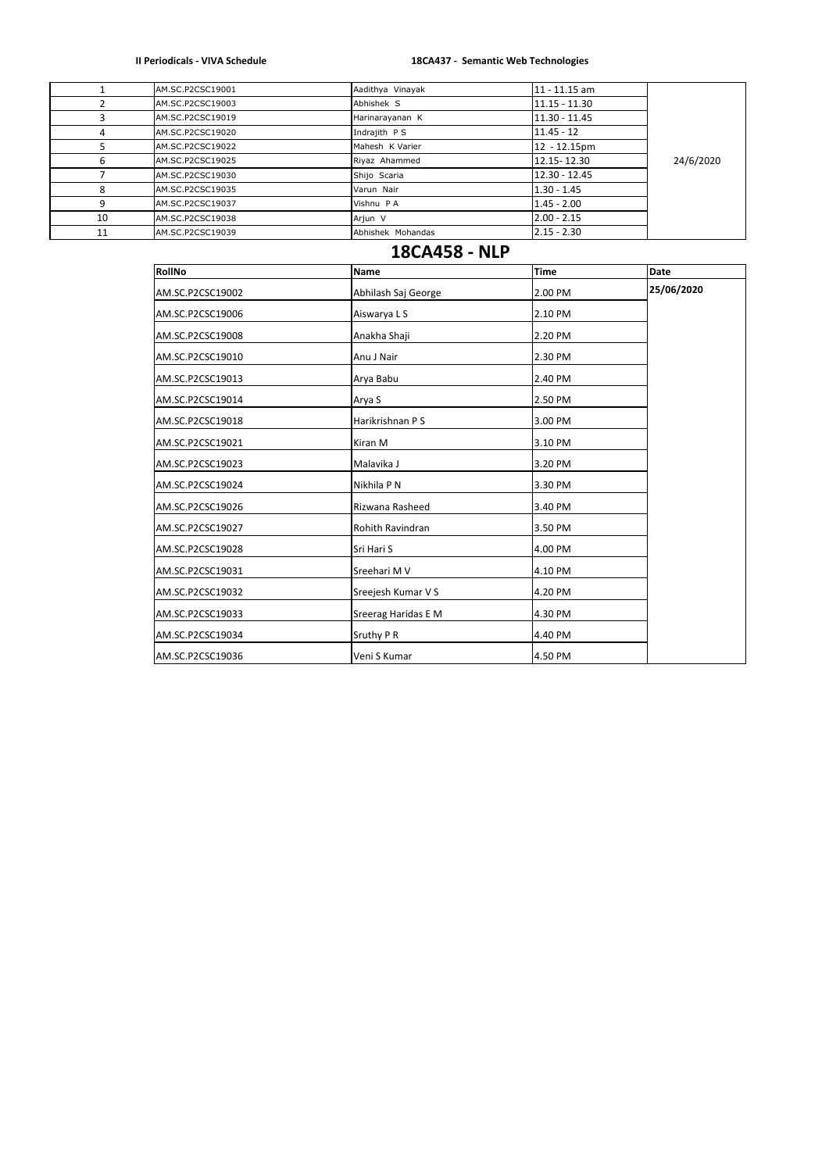|    | AM.SC.P2CSC19001         | Aadithya Vinayak  | $11 - 11.15$ am |           |
|----|--------------------------|-------------------|-----------------|-----------|
|    | <b>IAM.SC.P2CSC19003</b> | Abhishek S        | $11.15 - 11.30$ |           |
|    | <b>JAM.SC.P2CSC19019</b> | Harinarayanan K   | $11.30 - 11.45$ |           |
|    | AM.SC.P2CSC19020         | Indrajith PS      | $11.45 - 12$    |           |
|    | IAM.SC.P2CSC19022        | Mahesh K Varier   | $12 - 12.15$ pm |           |
|    | AM.SC.P2CSC19025         | Riyaz Ahammed     | 12.15 - 12.30   | 24/6/2020 |
|    | AM.SC.P2CSC19030         | Shijo Scaria      | $12.30 - 12.45$ |           |
|    | IAM.SC.P2CSC19035        | Varun Nair        | $1.30 - 1.45$   |           |
|    | <b>JAM.SC.P2CSC19037</b> | Vishnu P A        | $1.45 - 2.00$   |           |
| 10 | AM.SC.P2CSC19038         | Arjun V           | $2.00 - 2.15$   |           |
| 11 | <b>AM.SC.P2CSC19039</b>  | Abhishek Mohandas | $2.15 - 2.30$   |           |

| RollNo           | <b>Name</b>         | <b>Time</b> | <b>Date</b> |
|------------------|---------------------|-------------|-------------|
| AM.SC.P2CSC19002 | Abhilash Saj George | 2.00 PM     | 25/06/2020  |
| AM.SC.P2CSC19006 | Aiswarya L S        | 2.10 PM     |             |
| AM.SC.P2CSC19008 | Anakha Shaji        | 2.20 PM     |             |
| AM.SC.P2CSC19010 | Anu J Nair          | 2.30 PM     |             |
| AM.SC.P2CSC19013 | Arya Babu           | 2.40 PM     |             |
| AM.SC.P2CSC19014 | Arya S              | 2.50 PM     |             |
| AM.SC.P2CSC19018 | Harikrishnan P S    | 3.00 PM     |             |
| AM.SC.P2CSC19021 | Kiran M             | 3.10 PM     |             |
| AM.SC.P2CSC19023 | Malavika J          | 3.20 PM     |             |
| AM.SC.P2CSC19024 | Nikhila P N         | 3.30 PM     |             |
| AM.SC.P2CSC19026 | Rizwana Rasheed     | 3.40 PM     |             |
| AM.SC.P2CSC19027 | Rohith Ravindran    | 3.50 PM     |             |
| AM.SC.P2CSC19028 | Sri Hari S          | 4.00 PM     |             |
| AM.SC.P2CSC19031 | Sreehari M V        | 4.10 PM     |             |
| AM.SC.P2CSC19032 | Sreejesh Kumar V S  | 4.20 PM     |             |
| AM.SC.P2CSC19033 | Sreerag Haridas E M | 4.30 PM     |             |
| AM.SC.P2CSC19034 | Sruthy P R          | 4.40 PM     |             |
| AM.SC.P2CSC19036 | Veni S Kumar        | 4.50 PM     |             |

# **18CA458 - NLP**

### **II Periodicals - VIVA Schedule 18CA437 - Semantic Web Technologies**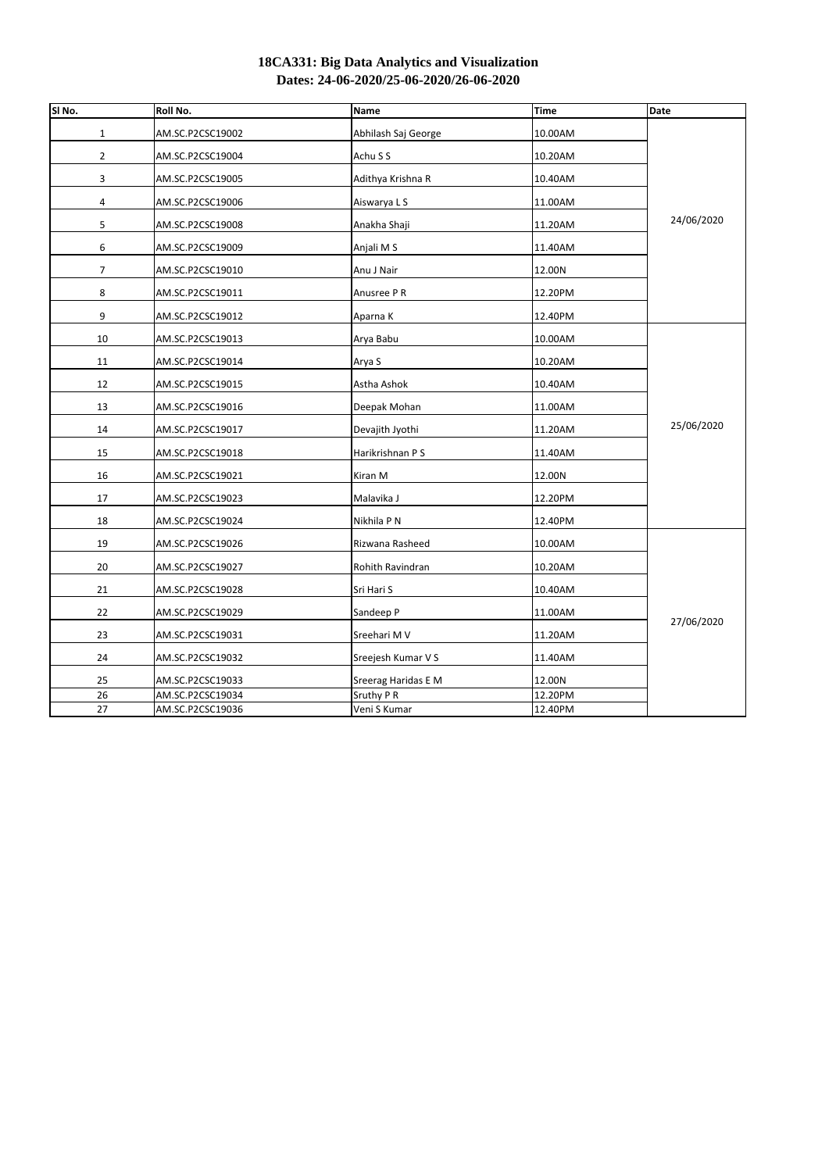| SI No.         | Roll No.         | <b>Name</b>         | <b>Time</b> | <b>Date</b> |
|----------------|------------------|---------------------|-------------|-------------|
| $\mathbf{1}$   | AM.SC.P2CSC19002 | Abhilash Saj George | 10.00AM     |             |
| $\overline{2}$ | AM.SC.P2CSC19004 | Achu S S            | 10.20AM     |             |
| 3              | AM.SC.P2CSC19005 | Adithya Krishna R   | 10.40AM     |             |
| 4              | AM.SC.P2CSC19006 | Aiswarya L S        | 11.00AM     |             |
| 5              | AM.SC.P2CSC19008 | Anakha Shaji        | 11.20AM     | 24/06/2020  |
| 6              | AM.SC.P2CSC19009 | Anjali M S          | 11.40AM     |             |
| $\overline{7}$ | AM.SC.P2CSC19010 | Anu J Nair          | 12.00N      |             |
| 8              | AM.SC.P2CSC19011 | Anusree P R         | 12.20PM     |             |
| 9              | AM.SC.P2CSC19012 | Aparna K            | 12.40PM     |             |
| 10             | AM.SC.P2CSC19013 | Arya Babu           | 10.00AM     |             |
| 11             | AM.SC.P2CSC19014 | Arya S              | 10.20AM     |             |
| 12             | AM.SC.P2CSC19015 | Astha Ashok         | 10.40AM     |             |
| 13             | AM.SC.P2CSC19016 | Deepak Mohan        | 11.00AM     |             |
| 14             | AM.SC.P2CSC19017 | Devajith Jyothi     | 11.20AM     | 25/06/2020  |
| 15             | AM.SC.P2CSC19018 | Harikrishnan P S    | 11.40AM     |             |
| 16             | AM.SC.P2CSC19021 | Kiran M             | 12.00N      |             |
| 17             | AM.SC.P2CSC19023 | Malavika J          | 12.20PM     |             |
| 18             | AM.SC.P2CSC19024 | Nikhila P N         | 12.40PM     |             |
| 19             | AM.SC.P2CSC19026 | Rizwana Rasheed     | 10.00AM     |             |
| 20             | AM.SC.P2CSC19027 | Rohith Ravindran    | 10.20AM     |             |
| 21             | AM.SC.P2CSC19028 | Sri Hari S          | 10.40AM     |             |
| 22             | AM.SC.P2CSC19029 | Sandeep P           | 11.00AM     |             |
| 23             | AM.SC.P2CSC19031 | Sreehari M V        | 11.20AM     | 27/06/2020  |
| 24             | AM.SC.P2CSC19032 | Sreejesh Kumar V S  | 11.40AM     |             |
| 25             | AM.SC.P2CSC19033 | Sreerag Haridas E M | 12.00N      |             |
| 26             | AM.SC.P2CSC19034 | Sruthy P R          | 12.20PM     |             |
| 27             | AM.SC.P2CSC19036 | Veni S Kumar        | 12.40PM     |             |

# **18CA331: Big Data Analytics and Visualization Dates: 24-06-2020/25-06-2020/26-06-2020**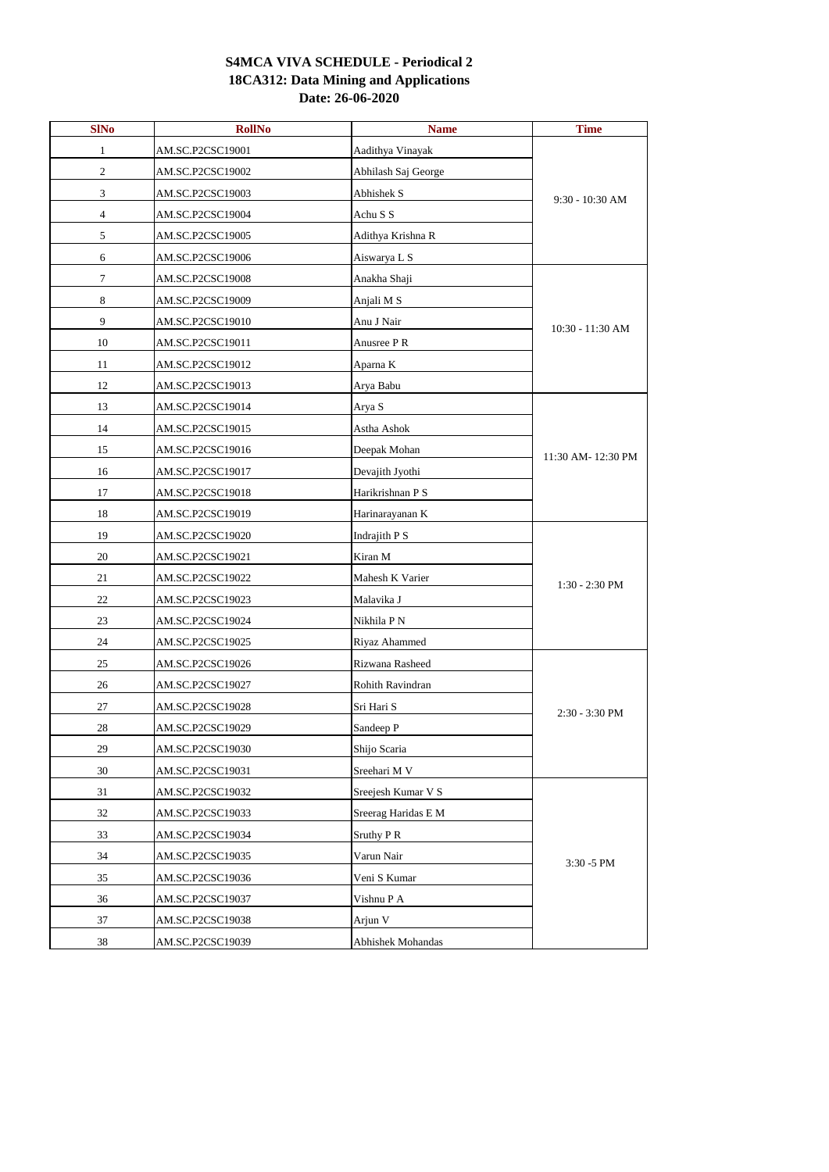| <b>SINo</b>    | <b>RollNo</b>    | <b>Name</b>         | <b>Time</b>       |
|----------------|------------------|---------------------|-------------------|
| 1              | AM.SC.P2CSC19001 | Aadithya Vinayak    |                   |
| $\overline{c}$ | AM.SC.P2CSC19002 | Abhilash Saj George |                   |
| 3              | AM.SC.P2CSC19003 | Abhishek S          | 9:30 - 10:30 AM   |
| 4              | AM.SC.P2CSC19004 | Achu S S            |                   |
| 5              | AM.SC.P2CSC19005 | Adithya Krishna R   |                   |
| 6              | AM.SC.P2CSC19006 | Aiswarya L S        |                   |
| 7              | AM.SC.P2CSC19008 | Anakha Shaji        |                   |
| 8              | AM.SC.P2CSC19009 | Anjali M S          |                   |
| 9              | AM.SC.P2CSC19010 | Anu J Nair          | 10:30 - 11:30 AM  |
| 10             | AM.SC.P2CSC19011 | Anusree P R         |                   |
| 11             | AM.SC.P2CSC19012 | Aparna K            |                   |
| 12             | AM.SC.P2CSC19013 | Arya Babu           |                   |
| 13             | AM.SC.P2CSC19014 | Arya S              |                   |
| 14             | AM.SC.P2CSC19015 | Astha Ashok         |                   |
| 15             | AM.SC.P2CSC19016 | Deepak Mohan        | 11:30 AM-12:30 PM |
| 16             | AM.SC.P2CSC19017 | Devajith Jyothi     |                   |
| 17             | AM.SC.P2CSC19018 | Harikrishnan P S    |                   |
| 18             | AM.SC.P2CSC19019 | Harinarayanan K     |                   |
| 19             | AM.SC.P2CSC19020 | Indrajith P S       |                   |
| 20             | AM.SC.P2CSC19021 | Kiran M             |                   |
| 21             | AM.SC.P2CSC19022 | Mahesh K Varier     | $1:30 - 2:30$ PM  |
| $22\,$         | AM.SC.P2CSC19023 | Malavika J          |                   |
| 23             | AM.SC.P2CSC19024 | Nikhila P N         |                   |
| 24             | AM.SC.P2CSC19025 | Riyaz Ahammed       |                   |
| 25             | AM.SC.P2CSC19026 | Rizwana Rasheed     |                   |
| 26             | AM.SC.P2CSC19027 | Rohith Ravindran    |                   |
| 27             | AM.SC.P2CSC19028 | Sri Hari S          | $2:30 - 3:30$ PM  |
| 28             | AM.SC.P2CSC19029 | Sandeep P           |                   |
| 29             | AM.SC.P2CSC19030 | Shijo Scaria        |                   |
| 30             | AM.SC.P2CSC19031 | Sreehari M V        |                   |
| 31             | AM.SC.P2CSC19032 | Sreejesh Kumar V S  |                   |
| 32             | AM.SC.P2CSC19033 | Sreerag Haridas E M |                   |
| 33             | AM.SC.P2CSC19034 | Sruthy P R          |                   |
| 34             | AM.SC.P2CSC19035 | Varun Nair          | 3:30 - 5 PM       |
| 35             | AM.SC.P2CSC19036 | Veni S Kumar        |                   |
| 36             | AM.SC.P2CSC19037 | Vishnu P A          |                   |
| 37             | AM.SC.P2CSC19038 | Arjun V             |                   |
| 38             | AM.SC.P2CSC19039 | Abhishek Mohandas   |                   |

# **S4MCA VIVA SCHEDULE - Periodical 2 18CA312: Data Mining and Applications Date: 26-06-2020**